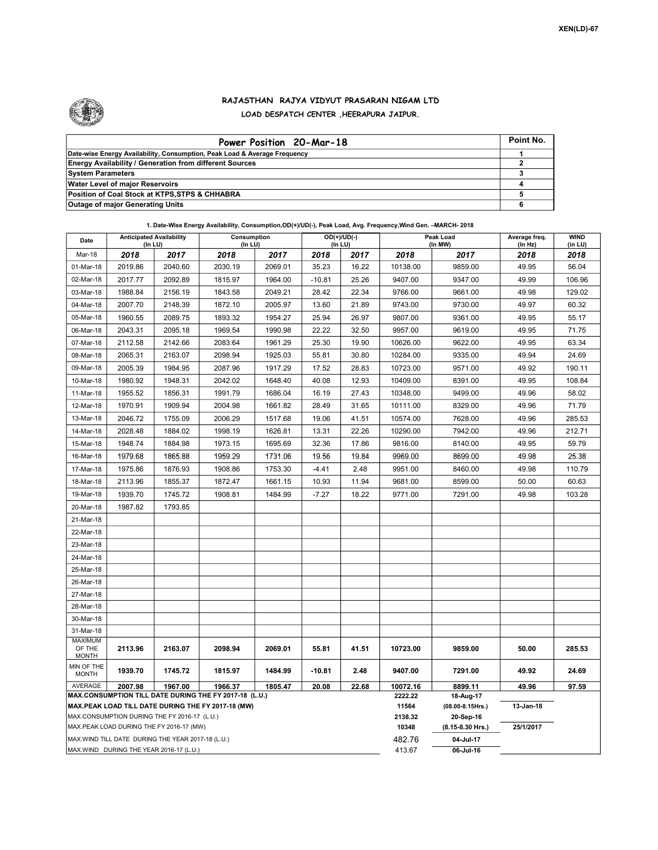

## RAJASTHAN RAJYA VIDYUT PRASARAN NIGAM LTD LOAD DESPATCH CENTER ,HEERAPURA JAIPUR.

| Power Position 20-Mar-18                                                  | Point No. |
|---------------------------------------------------------------------------|-----------|
| Date-wise Energy Availability, Consumption, Peak Load & Average Frequency |           |
| <b>Energy Availability / Generation from different Sources</b>            |           |
| <b>System Parameters</b>                                                  |           |
| <b>Water Level of major Reservoirs</b>                                    |           |
| Position of Coal Stock at KTPS, STPS & CHHABRA                            |           |
| <b>Outage of major Generating Units</b>                                   |           |

1. Date-Wise Energy Availability, Consumption,OD(+)/UD(-), Peak Load, Avg. Frequency,Wind Gen. –MARCH- 2018

| Date                                                                                               | <b>Anticipated Availability</b><br>$($ In LU $)$   |         | Consumption<br>(In LU)                                 |         |           | $OD(+)/UD(-)$<br>(In LU) | Peak Load<br>(In MW) |                               | Average freq.<br>(In Hz) | <b>WIND</b><br>(in LU) |
|----------------------------------------------------------------------------------------------------|----------------------------------------------------|---------|--------------------------------------------------------|---------|-----------|--------------------------|----------------------|-------------------------------|--------------------------|------------------------|
| Mar-18                                                                                             | 2018                                               | 2017    | 2018                                                   | 2017    | 2018      | 2017                     | 2018                 | 2017                          | 2018                     | 2018                   |
| 01-Mar-18                                                                                          | 2019.86                                            | 2040.60 | 2030.19                                                | 2069.01 | 35.23     | 16.22                    | 10138.00             | 9859.00                       | 49.95                    | 56.04                  |
| 02-Mar-18                                                                                          | 2017.77                                            | 2092.89 | 1815.97                                                | 1964.00 | $-10.81$  | 25.26                    | 9407.00              | 9347.00                       | 49.99                    | 106.96                 |
| 03-Mar-18                                                                                          | 1988.84                                            | 2156.19 | 1843.58                                                | 2049.21 | 28.42     | 22.34                    | 9766.00              | 9661.00                       | 49.98                    | 129.02                 |
| 04-Mar-18                                                                                          | 2007.70                                            | 2148.39 | 1872.10                                                | 2005.97 | 13.60     | 21.89                    | 9743.00              | 9730.00                       | 49.97                    | 60.32                  |
| 05-Mar-18                                                                                          | 1960.55                                            | 2089.75 | 1893.32                                                | 1954.27 | 25.94     | 26.97                    | 9807.00              | 9361.00                       | 49.95                    | 55.17                  |
| 06-Mar-18                                                                                          | 2043.31                                            | 2095.18 | 1969.54                                                | 1990.98 | 22.22     | 32.50                    | 9957.00              | 9619.00                       | 49.95                    | 71.75                  |
| 07-Mar-18                                                                                          | 2112.58                                            | 2142.66 | 2083.64                                                | 1961.29 | 25.30     | 19.90                    | 10626.00             | 9622.00                       | 49.95                    | 63.34                  |
| 08-Mar-18                                                                                          | 2065.31                                            | 2163.07 | 2098.94                                                | 1925.03 | 55.81     | 30.80                    | 10284.00             | 9335.00                       | 49.94                    | 24.69                  |
| 09-Mar-18                                                                                          | 2005.39                                            | 1984.95 | 2087.96                                                | 1917.29 | 17.52     | 28.83                    | 10723.00             | 9571.00                       | 49.92                    | 190.11                 |
| 10-Mar-18                                                                                          | 1980.92                                            | 1948.31 | 2042.02                                                | 1648.40 | 40.08     | 12.93                    | 10409.00             | 8391.00                       | 49.95                    | 108.84                 |
| 11-Mar-18                                                                                          | 1955.52                                            | 1856.31 | 1991.79                                                | 1686.04 | 16.19     | 27.43                    | 10348.00             | 9499.00                       | 49.96                    | 58.02                  |
| 12-Mar-18                                                                                          | 1970.91                                            | 1909.94 | 2004.98                                                | 1661.82 | 28.49     | 31.65                    | 10111.00             | 8329.00                       | 49.96                    | 71.79                  |
| 13-Mar-18                                                                                          | 2046.72                                            | 1755.09 | 2006.29                                                | 1517.68 | 19.06     | 41.51                    | 10574.00             | 7628.00                       | 49.96                    | 285.53                 |
| 14-Mar-18                                                                                          | 2028.48                                            | 1884.02 | 1998.19                                                | 1626.81 | 13.31     | 22.26                    | 10290.00             | 7942.00                       | 49.96                    | 212.71                 |
| 15-Mar-18                                                                                          | 1948.74                                            | 1884.98 | 1973.15                                                | 1695.69 | 32.36     | 17.86                    | 9816.00              | 8140.00                       | 49.95                    | 59.79                  |
| 16-Mar-18                                                                                          | 1979.68                                            | 1865.88 | 1959.29                                                | 1731.06 | 19.56     | 19.84                    | 9969.00              | 8699.00                       | 49.98                    | 25.38                  |
| 17-Mar-18                                                                                          | 1975.86                                            | 1876.93 | 1908.86                                                | 1753.30 | $-4.41$   | 2.48                     | 9951.00              | 8460.00                       | 49.98                    | 110.79                 |
| 18-Mar-18                                                                                          | 2113.96                                            | 1855.37 | 1872.47                                                | 1661.15 | 10.93     | 11.94                    | 9681.00              | 8599.00                       | 50.00                    | 60.63                  |
| 19-Mar-18                                                                                          | 1939.70                                            | 1745.72 | 1908.81                                                | 1484.99 | $-7.27$   | 18.22                    | 9771.00              | 7291.00                       | 49.98                    | 103.28                 |
| 20-Mar-18                                                                                          | 1987.82                                            | 1793.85 |                                                        |         |           |                          |                      |                               |                          |                        |
| 21-Mar-18                                                                                          |                                                    |         |                                                        |         |           |                          |                      |                               |                          |                        |
| 22-Mar-18                                                                                          |                                                    |         |                                                        |         |           |                          |                      |                               |                          |                        |
| 23-Mar-18                                                                                          |                                                    |         |                                                        |         |           |                          |                      |                               |                          |                        |
| 24-Mar-18                                                                                          |                                                    |         |                                                        |         |           |                          |                      |                               |                          |                        |
| 25-Mar-18                                                                                          |                                                    |         |                                                        |         |           |                          |                      |                               |                          |                        |
| 26-Mar-18                                                                                          |                                                    |         |                                                        |         |           |                          |                      |                               |                          |                        |
| 27-Mar-18                                                                                          |                                                    |         |                                                        |         |           |                          |                      |                               |                          |                        |
| 28-Mar-18                                                                                          |                                                    |         |                                                        |         |           |                          |                      |                               |                          |                        |
| 30-Mar-18                                                                                          |                                                    |         |                                                        |         |           |                          |                      |                               |                          |                        |
| 31-Mar-18                                                                                          |                                                    |         |                                                        |         |           |                          |                      |                               |                          |                        |
| MAXIMUM<br>OF THE<br><b>MONTH</b>                                                                  | 2113.96                                            | 2163.07 | 2098.94                                                | 2069.01 | 55.81     | 41.51                    | 10723.00             | 9859.00                       | 50.00                    | 285.53                 |
| MIN OF THE<br><b>MONTH</b>                                                                         | 1939.70                                            | 1745.72 | 1815.97                                                | 1484.99 | $-10.81$  | 2.48                     | 9407.00              | 7291.00                       | 49.92                    | 24.69                  |
| AVERAGE                                                                                            | 2007.98                                            | 1967.00 | 1966.37                                                | 1805.47 | 20.08     | 22.68                    | 10072.16             | 8899.11                       | 49.96                    | 97.59                  |
|                                                                                                    |                                                    |         | MAX.CONSUMPTION TILL DATE DURING THE FY 2017-18 (L.U.) |         |           |                          | 2222.22<br>11564     | 18-Aug-17<br>(08.00-8.15Hrs.) | 13-Jan-18                |                        |
| MAX.PEAK LOAD TILL DATE DURING THE FY 2017-18 (MW)<br>MAX.CONSUMPTION DURING THE FY 2016-17 (L.U.) |                                                    |         |                                                        |         |           |                          | 2138.32              | 20-Sep-16                     |                          |                        |
| MAX.PEAK LOAD DURING THE FY 2016-17 (MW)                                                           |                                                    |         |                                                        |         |           |                          | 10348                | (8.15-8.30 Hrs.)              | 25/1/2017                |                        |
|                                                                                                    | MAX. WIND TILL DATE DURING THE YEAR 2017-18 (L.U.) |         |                                                        |         |           |                          | 482.76               | 04-Jul-17                     |                          |                        |
|                                                                                                    | MAX.WIND DURING THE YEAR 2016-17 (L.U.)            |         |                                                        | 413.67  | 06-Jul-16 |                          |                      |                               |                          |                        |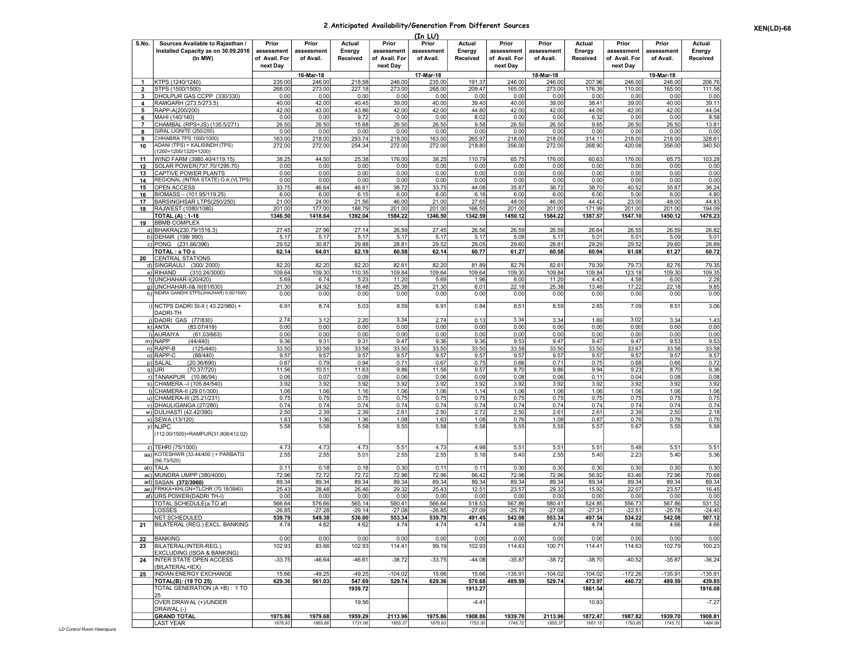## 2.Anticipated Availability/Generation From Different Sources

|  | <b>XEN(LD)-68</b> |
|--|-------------------|
|--|-------------------|

|                | (In LU)                                                                  |                             |                         |                    |                             |                         |                    |                             |                         |                    |                             |                         |                    |
|----------------|--------------------------------------------------------------------------|-----------------------------|-------------------------|--------------------|-----------------------------|-------------------------|--------------------|-----------------------------|-------------------------|--------------------|-----------------------------|-------------------------|--------------------|
| S.No.          | Sources Available to Rajasthan /                                         | Prior                       | Prior                   | Actual             | Prior                       | Prior                   | Actual             | Prior                       | Prior                   | Actual             | Prior                       | Prior                   | Actual             |
|                | Installed Capacity as on 30.09.2016<br>(In MW)                           | assessment<br>of Avail. For | assessment<br>of Avail. | Energy<br>Received | assessment<br>of Avail. For | assessment<br>of Avail. | Energy<br>Received | assessment<br>of Avail. For | assessment<br>of Avail. | Energy<br>Received | assessment<br>of Avail. For | assessment<br>of Avail. | Energy<br>Received |
|                |                                                                          | next Day                    |                         |                    | next Day                    |                         |                    | next Day                    |                         |                    | next Day                    |                         |                    |
|                |                                                                          |                             | 16-Mar-18               |                    |                             | 17-Mar-18               |                    |                             | 18-Mar-18               |                    |                             | 19-Mar-18               |                    |
| -1             | KTPS (1240/1240)                                                         | 235.00                      | 246.00                  | 218.58             | 246.00                      | 235.00                  | 191.37             | 246.00                      | 246.00                  | 207.96             | 246.00                      | 246.00                  | 206.76             |
| $\overline{2}$ | STPS (1500/1500)                                                         | 268.00                      | 273.00                  | 227.18             | 273.00                      | 268.00                  | 209.47             | 165.00                      | 273.00                  | 176.39             | 110.00                      | 165.00                  | 111.58             |
| 3<br>4         | DHOLPUR GAS CCPP (330/330)<br>RAMGARH (273.5/273.5)                      | 0.00<br>40.00               | 0.00<br>42.00           | 0.00<br>40.45      | 0.00<br>39.00               | 0.00<br>40.00           | 0.00<br>39.40      | 0.00<br>40.00               | 0.00<br>39.00           | 0.00<br>38.41      | 0.00<br>39.00               | 0.00<br>40.00           | 0.00<br>39.11      |
| 5              | RAPP-A(200/200)                                                          | 42.00                       | 43.00                   | 43.86              | 42.00                       | 42.00                   | 44.80              | 42.00                       | 42.00                   | 44.09              | 42.00                       | 42.00                   | 44.04              |
| 6              | MAHI (140/140)                                                           | 0.00                        | 0.00                    | 9.72               | 0.00                        | 0.00                    | 8.02               | 0.00                        | 0.00                    | 6.32               | 0.00                        | 0.00                    | 8.58               |
| 7              | CHAMBAL (RPS+JS) (135.5/271)                                             | 26.50                       | 26.50                   | 15.68              | 26.50                       | 26.50                   | 9.58               | 26.50                       | 26.50                   | 9.65               | 26.50                       | 26.50                   | 13.81              |
| 8<br>9         | GIRAL LIGNITE (250/250)<br>CHHABRA TPS 1000/1000                         | 0.00<br>163.00              | 0.00<br>218.00          | 0.00<br>293.74     | 0.00<br>218.00              | 0.00<br>163.00          | 0.00<br>265.97     | 0.00<br>218.00              | 0.00<br>218.00          | 0.00<br>314.11     | 0.00<br>218.00              | 0.00<br>218.00          | 0.00<br>328.6      |
| 10             | ADANI (TPS) + KALISINDH (TPS)<br>(1200+1200/1320+1200)                   | 272.00                      | 272.00                  | 254.34             | 272.00                      | 272.00                  | 218.80             | 356.00                      | 272.00                  | 268.90             | 420.08                      | 356.00                  | 340.50             |
| 11             | WIND FARM (3980.40/4119.15)                                              | 38.25                       | 44.50                   | 25.38              | 176.00                      | 38.25                   | 110.79             | 65.75                       | 176.00                  | 60.63              | 176.00                      | 65.75                   | 103.28             |
| 12             | SOLAR POWER(737.70/1295.70)                                              | 0.00                        | 0.00                    | 0.00               | 0.00                        | 0.00                    | 0.00               | 0.00                        | 0.00                    | 0.00               | 0.00                        | 0.00                    | 0.00               |
| 13<br>14       | <b>CAPTIVE POWER PLANTS</b><br>REGIONAL (INTRA STATE) O.A. (VLTPS)       | 0.00<br>0.00                | 0.00<br>0.00            | 0.00<br>0.00       | 0.00<br>0.00                | 0.00<br>0.00            | 0.00<br>0.00       | 0.00<br>0.00                | 0.00<br>0.00            | 0.00<br>0.00       | 0.00<br>0.00                | 0.00<br>0.00            | 0.00<br>0.00       |
| 15             | <b>OPEN ACCESS</b>                                                       | 33.75                       | 46.64                   | 46.61              | 38.72                       | 33.75                   | 44.08              | 35.87                       | 38.72                   | 38.70              | 40.52                       | 35.87                   | 36.24              |
| 16             | BIOMASS - (101.95/119.25)                                                | 6.00                        | 6.00                    | 6.15               | 6.00                        | 6.00                    | 6.16               | 6.00                        | 6.00                    | 6.00               | 5.00                        | 6.00                    | 4.80               |
| 17             | BARSINGHSAR LTPS(250/250)                                                | 21.00                       | 24.00                   | 21.56              | 46.00                       | 21.00                   | 27.65              | 48.00                       | 46.00                   | 44.42              | 23.00                       | 48.00                   | 44.83              |
| 18             | RAJWEST (1080/1080)<br><b>TOTAL (A): 1-18</b>                            | 201.00<br>1346.50           | 177.00<br>1418.64       | 188.79<br>1392.04  | 201.00<br>1584.22           | 201.00<br>1346.50       | 166.50<br>1342.59  | 201.00<br>1450.12           | 201.00<br>1584.22       | 171.99<br>1387.57  | 201.00<br>1547.10           | 201.00<br>1450.12       | 194.09<br>1476.23  |
| 19             | <b>BBMB COMPLEX</b>                                                      |                             |                         |                    |                             |                         |                    |                             |                         |                    |                             |                         |                    |
|                | a) BHAKRA(230.79/1516.3)                                                 | 27.45                       | 27.96                   | 27.14              | 26.59                       | 27.45                   | 26.56              | 26.59                       | 26.59                   | 26.64              | 26.55                       | 26.59                   | 26.82              |
|                | b) DEHAR (198/990)                                                       | 5.17                        | 5.17                    | 5.17               | 5.17                        | 5.17                    | 5.17               | 5.09                        | 5.17                    | 5.01               | 5.01                        | 5.09                    | 5.01               |
|                | c) PONG (231.66/396)                                                     | 29.52                       | 30.87                   | 29.88              | 28.81                       | 29.52                   | 29.05              | 29.60                       | 28.81                   | 29.29              | 29.52                       | 29.60                   | 28.89              |
| 20             | TOTAL : a TO c<br><b>CENTRAL STATIONS</b>                                | 62.14                       | 64.01                   | 62.19              | 60.58                       | 62.14                   | 60.77              | 61.27                       | 60.58                   | 60.94              | 61.08                       | 61.27                   | 60.72              |
|                | d) SINGRAULI<br>(300/2000)                                               | 82.20                       | 82.20                   | 82.20              | 82.61                       | 82.20                   | 81.89              | 82.76                       | 82.61                   | 79.39              | 79.73                       | 82.76                   | 79.35              |
|                | e) RIHAND<br>(310.24/3000)                                               | 109.64                      | 109.30                  | 110.35             | 109.84                      | 109.64                  | 109.64             | 109.30                      | 109.84                  | 109.84             | 123.18                      | 109.30                  | 109.35             |
|                | f) UNCHAHAR-I(20/420)                                                    | 5.69                        | 6.74                    | 5.23               | 11.20                       | 5.69                    | 1.96               | 6.00                        | 11.20                   | 4.43               | 4.58                        | 6.00                    | 2.28               |
|                | g) UNCHAHAR-II& III(61/630)<br>h) INDIRA GANDHI STPS(JHAJHAR) 0.00/1500) | 21.30                       | 24.92                   | 18.48              | 25.38                       | 21.30                   | 6.01               | 22.18                       | 25.38                   | 13.46              | 17.22                       | 22.18                   | 9.85               |
|                |                                                                          | 0.00                        | 0.00                    | 0.00               | 0.00                        | 0.00                    | 0.00               | 0.00                        | 0.00                    | 0.00               | 0.00                        | 0.00                    | 0.00               |
|                | i) NCTPS DADRI St-II (43.22/980) +<br>DADRI-TH                           | 6.91                        | 8.74                    | 5.03               | 8.59                        | 6.91                    | 0.84               | 8.51                        | 8.59                    | 2.85               | 7.09                        | 8.51                    | 3.06               |
|                | i) DADRI GAS (77/830)                                                    | 2.74                        | 3.12                    | 2.20               | 3.34                        | 2.74                    | 0.13               | 3.34                        | 3.34                    | 1.69               | 3.02                        | 3.34                    | 1.43               |
|                | k) ANTA<br>(83.07/419)<br>I) AURAIYA<br>(61.03/663)                      | 0.00<br>0.00                | 0.00<br>0.00            | 0.00<br>0.00       | 0.00<br>0.00                | 0.00<br>0.00            | 0.00<br>0.00       | 0.00<br>0.00                | 0.00<br>0.00            | 0.00<br>0.00       | 0.00<br>0.00                | 0.00<br>0.00            | 0.00<br>0.00       |
|                | (44/440)<br>m) NAPP                                                      | 9.36                        | 9.31                    | 9.31               | 9.47                        | 9.36                    | 9.36               | 9.53                        | 9.47                    | 9.47               | 9.47                        | 9.53                    | 9.53               |
|                | n) RAPP-B<br>(125/440)                                                   | 33.50                       | 33.58                   | 33.58              | 33.50                       | 33.50                   | 33.50              | 33.58                       | 33.50                   | 33.50              | 33.67                       | 33.58                   | 33.58              |
|                | o) RAPP-C<br>(88/440)                                                    | 9.57                        | 9.57                    | 9.57               | 9.57                        | 9.57                    | 9.57               | 9.57                        | 9.57                    | 9.57               | 9.57                        | 9.57                    | 9.57               |
|                | p) SALAL<br>(20.36/690)                                                  | 0.67                        | 0.79                    | 0.94               | 0.71                        | 0.67                    | 0.75               | 0.66                        | 0.71                    | 0.75               | 0.68                        | 0.66                    | 0.72               |
|                | q) URI<br>(70.37/720)                                                    | 11.56                       | 10.51                   | 11.63              | 9.86                        | 11.56                   | 9.57               | 8.70                        | 9.86                    | 9.94<br>0.11       | 9.23                        | 8.70                    | 9.36               |
|                | r) TANAKPUR (10.86/94)<br>s) CHAMERA - (105.84/540)                      | 0.06<br>3.92                | 0.07<br>3.92            | 0.09<br>3.92       | 0.06<br>3.92                | 0.06<br>3.92            | 0.09<br>3.92       | 0.08<br>3.92                | 0.06<br>3.92            | 3.92               | 0.04<br>3.92                | 0.08<br>3.92            | 0.08<br>3.92       |
|                | t) CHAMERA-II (29.01/300)                                                | 1.06                        | 1.06                    | 1.16               | 1.06                        | 1.06                    | 1.14               | 1.06                        | 1.06                    | 1.06               | 1.06                        | 1.06                    | 1.06               |
|                | u) CHAMERA-III (25.21/231)                                               | 0.75                        | 0.75                    | 0.75               | 0.75                        | 0.75                    | 0.75               | 0.75                        | 0.75                    | 0.75               | 0.75                        | 0.75                    | 0.75               |
|                | v) DHAULIGANGA (27/280)                                                  | 0.74                        | 0.74                    | 0.74               | 0.74                        | 0.74                    | 0.74               | 0.74                        | 0.74                    | 0.74               | 0.74                        | 0.74                    | 0.74               |
|                | w) DULHASTI (42.42/390)                                                  | 2.50                        | 2.39                    | 2.39               | 2.61                        | 2.50<br>1.63            | 2.72<br>1.08       | 2.50                        | 2.61                    | 2.61               | 2.39<br>0.76                | 2.50<br>0.76            | 2.18               |
|                | x) SEWA (13/120)<br>y) NJPC                                              | 1.63<br>5.58                | 1.36<br>5.58            | 1.36<br>5.58       | 1.08<br>5.55                | 5.58                    | 5.58               | 0.76<br>5.55                | 1.08<br>5.55            | 0.87<br>5.57       | 5.67                        | 5.55                    | 0.76<br>5.58       |
|                | (112.00/1500)+RAMPUR(31.808/412.02)                                      |                             |                         |                    |                             |                         |                    |                             |                         |                    |                             |                         |                    |
|                | z) TEHRI (75/1000)                                                       | 4.73                        | 4.73                    | 4.73               | 5.51                        | 4.73                    | 4.98               | 5.51                        | 5.51                    | 5.5'               | 5.48                        | 5.51                    | 5.51               |
| aa)            | KOTESHWR (33.44/400) + PARBATI3                                          | 2.55                        | 2.55                    | 5.01               | 2.55                        | 2.55                    | 5.16               | 5.40                        | 2.55                    | 5.40               | 2.23                        | 5.40                    | 5.36               |
|                | (56.73/520)<br>ab) TALA                                                  | 0.11                        | 0.18                    | 0.18               | 0.30                        | 0.11                    | 0.11               | 0.30                        | 0.30                    | 0.30               | 0.30                        | 0.30                    | 0.30               |
|                | ac) MUNDRA UMPP (380/4000)                                               | 72.96                       | 72.72                   | 72.72              | 72.96                       | 72.96                   | 66.42              | 72.96                       | 72.96                   | 56.92              | 63.46                       | 72.96                   | 70.68              |
|                | ad) SASAN (372/3960)                                                     | 89.34                       | 89.34                   | 89.34              | 89.34                       | 89.34                   | 89.34              | 89.34                       | 89.34                   | 89.34              | 89.34                       | 89.34                   | 89.34              |
|                | ae) FRKKA+KHLGN+TLCHR (70.18/3940)                                       | 25.43                       | 28.48                   | 26.46              | 29.32                       | 25.43                   | 12.51              | 23.57                       | 29.32                   | 15.92              | 22.07                       | 23.57                   | 16.45              |
|                | af) URS POWER(DADRI TH-I)                                                | 0.00                        | 0.00                    | 0.00               | 0.00                        | 0.00                    | 0.00               | 0.00                        | 0.00                    | 0.00               | 0.00                        | 0.00                    | 0.00               |
|                | <b>TOTAL SCHEDULE(a TO af)</b><br>LOSSES                                 | 566.64<br>$-26.85$          | 576.66<br>$-27.28$      | 565.14<br>$-29.14$ | 580.41<br>$-27.08$          | 566.64<br>$-26.85$      | 518.53<br>$-27.09$ | 567.86<br>$-25.78$          | 580.41<br>$-27.08$      | 524.85<br>$-27.31$ | 556.73<br>$-22.51$          | 567.86<br>$-25.78$      | 531.52<br>$-24.40$ |
|                | NET SCHEDULED                                                            | 539.79                      | 549.38                  | 536.00             | 553.34                      | 539.79                  | 491.45             | 542.08                      | 553.34                  | 497.54             | 534.22                      | 542.08                  | 507.12             |
| 21             | BILATERAL (REG.) EXCL. BANKING                                           | 4.74                        | 4.62                    | 4.62               | 4.74                        | 4.74                    | 4.74               | 4.66                        | 4.74                    | 4.74               | 4.66                        | 4.66                    | 4.66               |
|                |                                                                          |                             |                         |                    |                             |                         |                    |                             |                         |                    |                             |                         |                    |
| 22<br>23       | BANKING<br>BILATERAL(INTER-REG.).                                        | 0.00<br>102.93              | 0.00<br>83.66           | 0.00<br>102.93     | 0.00<br>114.41              | 0.00<br>99.19           | 0.00<br>102.93     | 0.00<br>114.63              | 0.00<br>100.71          | 0.00<br>114.41     | 0.00<br>114.63              | 0.00<br>102.79          | 0.00<br>100.23     |
| 24             | EXCLUDING (ISOA & BANKING)<br>INTER STATE OPEN ACCESS<br>(BILATERAL+IEX) | $-33.75$                    | $-46.64$                | $-46.61$           | $-38.72$                    | $-33.75$                | $-44.08$           | $-35.87$                    | $-38.72$                | $-38.70$           | $-40.52$                    | $-35.87$                | $-36.24$           |
| 25             | INDIAN ENERGY EXCHANGE                                                   | 15.66                       | $-49.25$                | $-49.25$           | $-104.02$                   | 15.66                   | 15.66              | $-135.91$                   | $-104.02$               | $-104.02$          | $-172.26$                   | $-135.91$               | $-135.91$          |
|                | TOTAL(B): (19 TO 25)                                                     | 629.36                      | 561.03                  | 547.69             | 529.74                      | 629.36                  | 570.68             | 489.59                      | 529.74                  | 473.97             | 440.72                      | 489.59                  | 439.85             |
|                | TOTAL GENERATION (A+B): 1 TO<br>125                                      |                             |                         | 1939.72            |                             |                         | 1913.27            |                             |                         | 1861.54            |                             |                         | 1916.08            |
|                | OVER DRAWAL (+)/UNDER<br>DRAWAL (-)                                      |                             |                         | 19.56              |                             |                         | $-4.41$            |                             |                         | 10.93              |                             |                         | $-7.27$            |
|                | <b>GRAND TOTAL</b><br>LAST YEAR                                          | 1975.86<br>1876.93          | 1979.68<br>1865.88      | 1959.29<br>1731.06 | 2113.96<br>1855.37          | 1975.86<br>1876.93      | 1908.86<br>1753.30 | 1939.70<br>1745.72          | 2113.96<br>1855.37      | 1872.47<br>1661.15 | 1987.82<br>1793.85          | 1939.70<br>1745.72      | 1908.81<br>1484.99 |
|                |                                                                          |                             |                         |                    |                             |                         |                    |                             |                         |                    |                             |                         |                    |